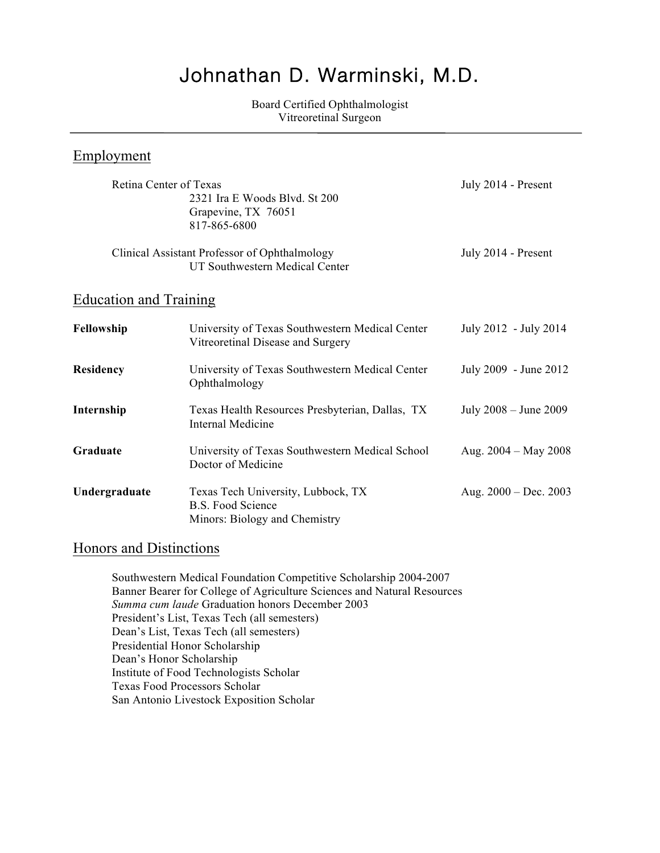# Johnathan D. Warminski, M.D.

Board Certified Ophthalmologist Vitreoretinal Surgeon

## Employment

| Retina Center of Texas        | 2321 Ira E Woods Blvd. St 200<br>Grapevine, TX 76051<br>817-865-6800                            | July 2014 - Present     |
|-------------------------------|-------------------------------------------------------------------------------------------------|-------------------------|
|                               | Clinical Assistant Professor of Ophthalmology<br>UT Southwestern Medical Center                 | July 2014 - Present     |
| <b>Education and Training</b> |                                                                                                 |                         |
| Fellowship                    | University of Texas Southwestern Medical Center<br>Vitreoretinal Disease and Surgery            | July 2012 - July 2014   |
| <b>Residency</b>              | University of Texas Southwestern Medical Center<br>Ophthalmology                                | July 2009 - June 2012   |
| Internship                    | Texas Health Resources Presbyterian, Dallas, TX<br><b>Internal Medicine</b>                     | July 2008 – June 2009   |
| Graduate                      | University of Texas Southwestern Medical School<br>Doctor of Medicine                           | Aug. $2004 - May 2008$  |
| Undergraduate                 | Texas Tech University, Lubbock, TX<br><b>B.S. Food Science</b><br>Minors: Biology and Chemistry | Aug. $2000 - Dec. 2003$ |

## Honors and Distinctions

Southwestern Medical Foundation Competitive Scholarship 2004-2007 Banner Bearer for College of Agriculture Sciences and Natural Resources *Summa cum laude* Graduation honors December 2003 President's List, Texas Tech (all semesters) Dean's List, Texas Tech (all semesters) Presidential Honor Scholarship Dean's Honor Scholarship Institute of Food Technologists Scholar Texas Food Processors Scholar San Antonio Livestock Exposition Scholar